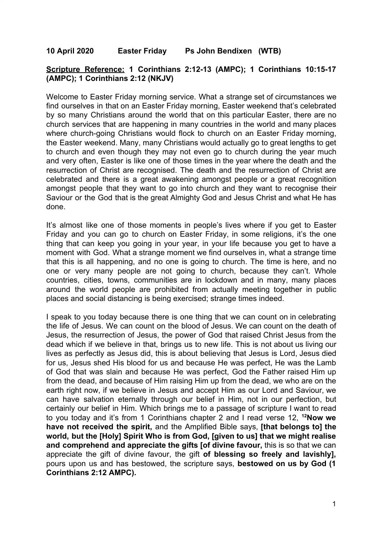## **10 April 2020 Easter Friday Ps John Bendixen (WTB)**

## **Scripture Reference: 1 Corinthians 2:12-13 (AMPC); 1 Corinthians 10:15-17 (AMPC); 1 Corinthians 2:12 (NKJV)**

Welcome to Easter Friday morning service. What a strange set of circumstances we find ourselves in that on an Easter Friday morning, Easter weekend that's celebrated by so many Christians around the world that on this particular Easter, there are no church services that are happening in many countries in the world and many places where church-going Christians would flock to church on an Easter Friday morning, the Easter weekend. Many, many Christians would actually go to great lengths to get to church and even though they may not even go to church during the year much and very often, Easter is like one of those times in the year where the death and the resurrection of Christ are recognised. The death and the resurrection of Christ are celebrated and there is a great awakening amongst people or a great recognition amongst people that they want to go into church and they want to recognise their Saviour or the God that is the great Almighty God and Jesus Christ and what He has done.

It's almost like one of those moments in people's lives where if you get to Easter Friday and you can go to church on Easter Friday, in some religions, it's the one thing that can keep you going in your year, in your life because you get to have a moment with God. What a strange moment we find ourselves in, what a strange time that this is all happening, and no one is going to church. The time is here, and no one or very many people are not going to church, because they can't. Whole countries, cities, towns, communities are in lockdown and in many, many places around the world people are prohibited from actually meeting together in public places and social distancing is being exercised; strange times indeed.

I speak to you today because there is one thing that we can count on in celebrating the life of Jesus. We can count on the blood of Jesus. We can count on the death of Jesus, the resurrection of Jesus, the power of God that raised Christ Jesus from the dead which if we believe in that, brings us to new life. This is not about us living our lives as perfectly as Jesus did, this is about believing that Jesus is Lord, Jesus died for us, Jesus shed His blood for us and because He was perfect, He was the Lamb of God that was slain and because He was perfect, God the Father raised Him up from the dead, and because of Him raising Him up from the dead, we who are on the earth right now, if we believe in Jesus and accept Him as our Lord and Saviour, we can have salvation eternally through our belief in Him, not in our perfection, but certainly our belief in Him. Which brings me to a passage of scripture I want to read to you today and it's from 1 Corinthians chapter 2 and I read verse 12, **<sup>12</sup>Now we have not received the spirit,** and the Amplified Bible says, **[that belongs to] the world, but the [Holy] Spirit Who is from God, [given to us] that we might realise and comprehend and appreciate the gifts [of divine favour,** this is so that we can appreciate the gift of divine favour, the gift **of blessing so freely and lavishly],** pours upon us and has bestowed, the scripture says, **bestowed on us by God (1 Corinthians 2:12 AMPC).**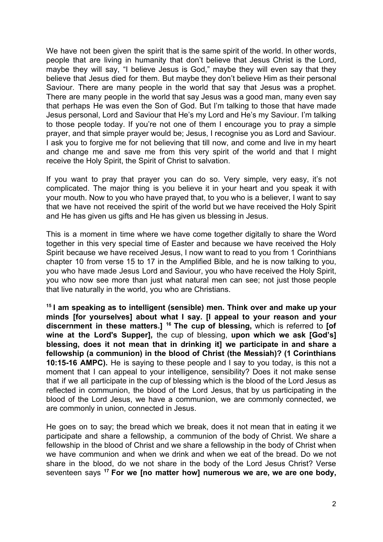We have not been given the spirit that is the same spirit of the world. In other words, people that are living in humanity that don't believe that Jesus Christ is the Lord, maybe they will say, "I believe Jesus is God," maybe they will even say that they believe that Jesus died for them. But maybe they don't believe Him as their personal Saviour. There are many people in the world that say that Jesus was a prophet. There are many people in the world that say Jesus was a good man, many even say that perhaps He was even the Son of God. But I'm talking to those that have made Jesus personal, Lord and Saviour that He's my Lord and He's my Saviour. I'm talking to those people today. If you're not one of them I encourage you to pray a simple prayer, and that simple prayer would be; Jesus, I recognise you as Lord and Saviour. I ask you to forgive me for not believing that till now, and come and live in my heart and change me and save me from this very spirit of the world and that I might receive the Holy Spirit, the Spirit of Christ to salvation.

If you want to pray that prayer you can do so. Very simple, very easy, it's not complicated. The major thing is you believe it in your heart and you speak it with your mouth. Now to you who have prayed that, to you who is a believer, I want to say that we have not received the spirit of the world but we have received the Holy Spirit and He has given us gifts and He has given us blessing in Jesus.

This is a moment in time where we have come together digitally to share the Word together in this very special time of Easter and because we have received the Holy Spirit because we have received Jesus, I now want to read to you from 1 Corinthians chapter 10 from verse 15 to 17 in the Amplified Bible, and he is now talking to you, you who have made Jesus Lord and Saviour, you who have received the Holy Spirit, you who now see more than just what natural men can see; not just those people that live naturally in the world, you who are Christians.

**15 I am speaking as to intelligent (sensible) men. Think over and make up your minds [for yourselves] about what I say. [I appeal to your reason and your discernment in these matters.] <sup>16</sup> The cup of blessing,** which is referred to **[of wine at the Lord's Supper],** the cup of blessing, **upon which we ask [God's] blessing, does it not mean that in drinking it] we participate in and share a fellowship (a communion) in the blood of Christ (the Messiah)? (1 Corinthians 10:15-16 AMPC).** He is saying to these people and I say to you today, is this not a moment that I can appeal to your intelligence, sensibility? Does it not make sense that if we all participate in the cup of blessing which is the blood of the Lord Jesus as reflected in communion, the blood of the Lord Jesus, that by us participating in the blood of the Lord Jesus, we have a communion, we are commonly connected, we are commonly in union, connected in Jesus.

He goes on to say; the bread which we break, does it not mean that in eating it we participate and share a fellowship, a communion of the body of Christ. We share a fellowship in the blood of Christ and we share a fellowship in the body of Christ when we have communion and when we drink and when we eat of the bread. Do we not share in the blood, do we not share in the body of the Lord Jesus Christ? Verse seventeen says **<sup>17</sup> For we [no matter how] numerous we are, we are one body,**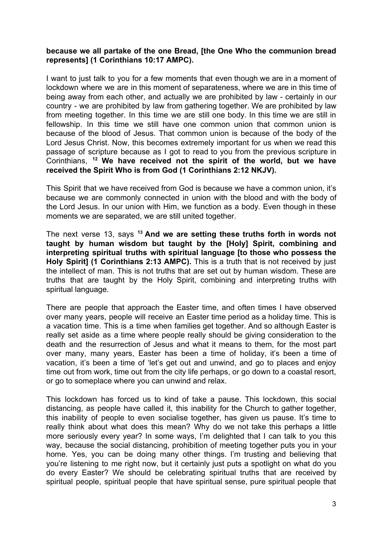## **because we all partake of the one Bread, [the One Who the communion bread represents] (1 Corinthians 10:17 AMPC).**

I want to just talk to you for a few moments that even though we are in a moment of lockdown where we are in this moment of separateness, where we are in this time of being away from each other, and actually we are prohibited by law - certainly in our country - we are prohibited by law from gathering together. We are prohibited by law from meeting together. In this time we are still one body. In this time we are still in fellowship. In this time we still have one common union that common union is because of the blood of Jesus. That common union is because of the body of the Lord Jesus Christ. Now, this becomes extremely important for us when we read this passage of scripture because as I got to read to you from the previous scripture in Corinthians, **<sup>12</sup> We have received not the spirit of the world, but we have received the Spirit Who is from God (1 Corinthians 2:12 NKJV).**

This Spirit that we have received from God is because we have a common union, it's because we are commonly connected in union with the blood and with the body of the Lord Jesus. In our union with Him, we function as a body. Even though in these moments we are separated, we are still united together.

The next verse 13, says **<sup>13</sup> And we are setting these truths forth in words not taught by human wisdom but taught by the [Holy] Spirit, combining and interpreting spiritual truths with spiritual language [to those who possess the Holy Spirit] (1 Corinthians 2:13 AMPC).** This is a truth that is not received by just the intellect of man. This is not truths that are set out by human wisdom. These are truths that are taught by the Holy Spirit, combining and interpreting truths with spiritual language.

There are people that approach the Easter time, and often times I have observed over many years, people will receive an Easter time period as a holiday time. This is a vacation time. This is a time when families get together. And so although Easter is really set aside as a time where people really should be giving consideration to the death and the resurrection of Jesus and what it means to them, for the most part over many, many years, Easter has been a time of holiday, it's been a time of vacation, it's been a time of 'let's get out and unwind, and go to places and enjoy time out from work, time out from the city life perhaps, or go down to a coastal resort, or go to someplace where you can unwind and relax.

This lockdown has forced us to kind of take a pause. This lockdown, this social distancing, as people have called it, this inability for the Church to gather together, this inability of people to even socialise together, has given us pause. It's time to really think about what does this mean? Why do we not take this perhaps a little more seriously every year? In some ways, I'm delighted that I can talk to you this way, because the social distancing, prohibition of meeting together puts you in your home. Yes, you can be doing many other things. I'm trusting and believing that you're listening to me right now, but it certainly just puts a spotlight on what do you do every Easter? We should be celebrating spiritual truths that are received by spiritual people, spiritual people that have spiritual sense, pure spiritual people that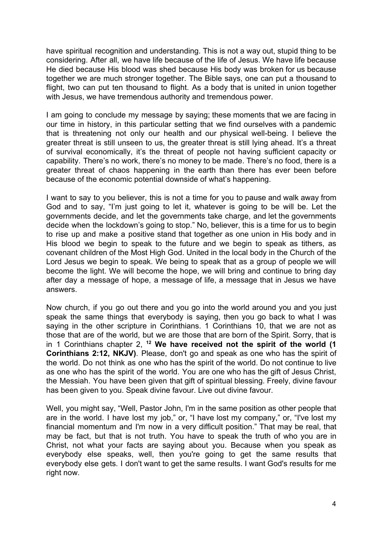have spiritual recognition and understanding. This is not a way out, stupid thing to be considering. After all, we have life because of the life of Jesus. We have life because He died because His blood was shed because His body was broken for us because together we are much stronger together. The Bible says, one can put a thousand to flight, two can put ten thousand to flight. As a body that is united in union together with Jesus, we have tremendous authority and tremendous power.

I am going to conclude my message by saying; these moments that we are facing in our time in history, in this particular setting that we find ourselves with a pandemic that is threatening not only our health and our physical well-being. I believe the greater threat is still unseen to us, the greater threat is still lying ahead. It's a threat of survival economically, it's the threat of people not having sufficient capacity or capability. There's no work, there's no money to be made. There's no food, there is a greater threat of chaos happening in the earth than there has ever been before because of the economic potential downside of what's happening.

I want to say to you believer, this is not a time for you to pause and walk away from God and to say, "I'm just going to let it, whatever is going to be will be. Let the governments decide, and let the governments take charge, and let the governments decide when the lockdown's going to stop." No, believer, this is a time for us to begin to rise up and make a positive stand that together as one union in His body and in His blood we begin to speak to the future and we begin to speak as tithers, as covenant children of the Most High God. United in the local body in the Church of the Lord Jesus we begin to speak. We being to speak that as a group of people we will become the light. We will become the hope, we will bring and continue to bring day after day a message of hope, a message of life, a message that in Jesus we have answers.

Now church, if you go out there and you go into the world around you and you just speak the same things that everybody is saying, then you go back to what I was saying in the other scripture in Corinthians. 1 Corinthians 10, that we are not as those that are of the world, but we are those that are born of the Spirit. Sorry, that is in 1 Corinthians chapter 2, **<sup>12</sup> We have received not the spirit of the world (1 Corinthians 2:12, NKJV)**. Please, don't go and speak as one who has the spirit of the world. Do not think as one who has the spirit of the world. Do not continue to live as one who has the spirit of the world. You are one who has the gift of Jesus Christ, the Messiah. You have been given that gift of spiritual blessing. Freely, divine favour has been given to you. Speak divine favour. Live out divine favour.

Well, you might say, "Well, Pastor John, I'm in the same position as other people that are in the world. I have lost my job," or, "I have lost my company," or, "I've lost my financial momentum and I'm now in a very difficult position." That may be real, that may be fact, but that is not truth. You have to speak the truth of who you are in Christ, not what your facts are saying about you. Because when you speak as everybody else speaks, well, then you're going to get the same results that everybody else gets. I don't want to get the same results. I want God's results for me right now.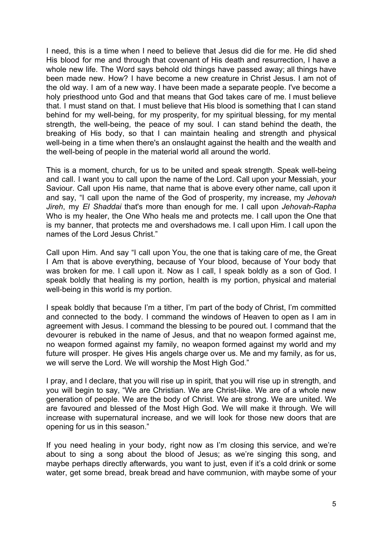I need, this is a time when I need to believe that Jesus did die for me. He did shed His blood for me and through that covenant of His death and resurrection, I have a whole new life. The Word says behold old things have passed away; all things have been made new. How? I have become a new creature in Christ Jesus. I am not of the old way. I am of a new way. I have been made a separate people. I've become a holy priesthood unto God and that means that God takes care of me. I must believe that. I must stand on that. I must believe that His blood is something that I can stand behind for my well-being, for my prosperity, for my spiritual blessing, for my mental strength, the well-being, the peace of my soul. I can stand behind the death, the breaking of His body, so that I can maintain healing and strength and physical well-being in a time when there's an onslaught against the health and the wealth and the well-being of people in the material world all around the world.

This is a moment, church, for us to be united and speak strength. Speak well-being and call. I want you to call upon the name of the Lord. Call upon your Messiah, your Saviour. Call upon His name, that name that is above every other name, call upon it and say, "I call upon the name of the God of prosperity, my increase, my *Jehovah Jireh*, my *El Shaddai* that's more than enough for me. I call upon *Jehovah-Rapha* Who is my healer, the One Who heals me and protects me. I call upon the One that is my banner, that protects me and overshadows me. I call upon Him. I call upon the names of the Lord Jesus Christ."

Call upon Him. And say "I call upon You, the one that is taking care of me, the Great I Am that is above everything, because of Your blood, because of Your body that was broken for me. I call upon it. Now as I call, I speak boldly as a son of God. I speak boldly that healing is my portion, health is my portion, physical and material well-being in this world is my portion.

I speak boldly that because I'm a tither, I'm part of the body of Christ, I'm committed and connected to the body. I command the windows of Heaven to open as I am in agreement with Jesus. I command the blessing to be poured out. I command that the devourer is rebuked in the name of Jesus, and that no weapon formed against me, no weapon formed against my family, no weapon formed against my world and my future will prosper. He gives His angels charge over us. Me and my family, as for us, we will serve the Lord. We will worship the Most High God."

I pray, and I declare, that you will rise up in spirit, that you will rise up in strength, and you will begin to say, "We are Christian. We are Christ-like. We are of a whole new generation of people. We are the body of Christ. We are strong. We are united. We are favoured and blessed of the Most High God. We will make it through. We will increase with supernatural increase, and we will look for those new doors that are opening for us in this season."

If you need healing in your body, right now as I'm closing this service, and we're about to sing a song about the blood of Jesus; as we're singing this song, and maybe perhaps directly afterwards, you want to just, even if it's a cold drink or some water, get some bread, break bread and have communion, with maybe some of your